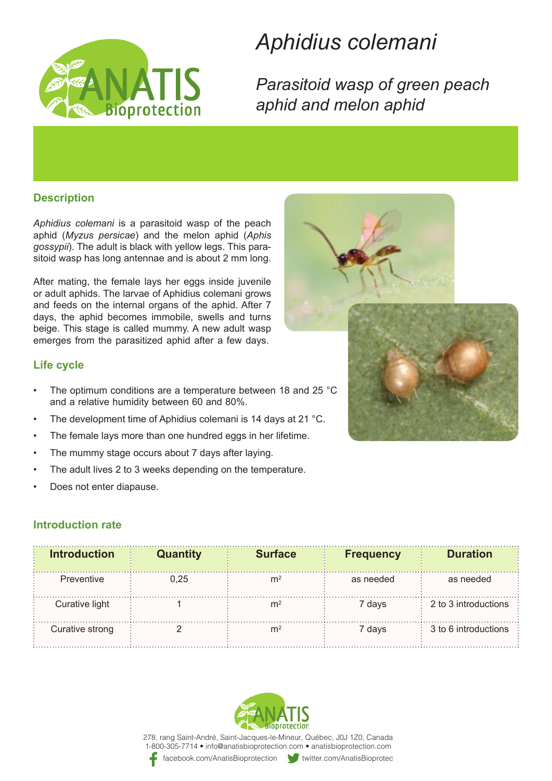

# *colemani Aphidius*

**Parasitoid wasp of green peach** *aphid melon and aphid*

### **Description**

Aphidius colemani is a parasitoid wasp of the peach aphid (Myzus persicae) and the melon aphid (Aphis sitoid wasp has long antennae and is about 2 mm long. gossypii). The adult is black with yellow legs. This para-

After mating, the female lays her eggs inside juvenile or adult aphids. The larvae of Aphidius colemani grows and feeds on the internal organs of the aphid. After 7 days, the aphid becomes immobile, swells and turns beige. This stage is called mummy. A new adult wasp emerges from the parasitized aphid after a few days.

### **Life cycle**

- The optimum conditions are a temperature between 18 and 25 °C and a relative humidity between 60 and 80%.
- The development time of Aphidius colemani is 14 days at 21 °C.
- The female lays more than one hundred eggs in her lifetime.
- The mummy stage occurs about 7 days after laying.
- The adult lives 2 to 3 weeks depending on the temperature.
- Does not enter diapause.

## **Introduction rate**

| <b>Introduction</b> | <b>Quantity</b> | <b>Surface</b> | <b>Frequency</b> | <b>Duration</b>      |
|---------------------|-----------------|----------------|------------------|----------------------|
| Preventive          | 0.25            | mź             | as needed        | as needed            |
| Curative light      |                 |                | 7 davs           | 2 to 3 introductions |
| Curative strong     |                 |                | 7 davs           | 3 to 6 introductions |



278, rang Saint-André, Saint-Jacques-le-Mineur, Québec, J0J 1Z0, Canada 1-800-305-7714 • info@anatisbioprotection.com • anatisbioprotection.com

facebook.com/AnatisBioprotection witter.com/AnatisBioprotection